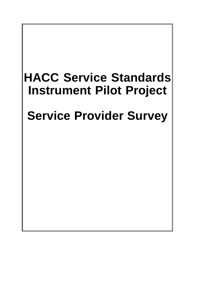# **HACC Service Standards Instrument Pilot Project**

# **Service Provider Survey**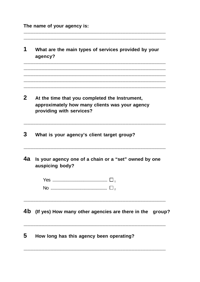The name of your agency is:

 $\blacktriangleleft$ What are the main types of services provided by your agency?  $\boldsymbol{p}$ At the time that you completed the Instrument, approximately how many clients was your agency providing with services? 3 What is your agency's client target group? 4a Is your agency one of a chain or a "set" owned by one auspicing body? 4b (If yes) How many other agencies are there in the group? 5 How long has this agency been operating?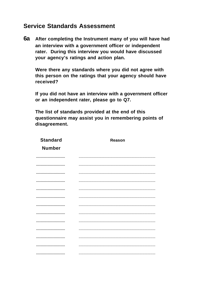### **Service Standards Assessment**

6a After completing the Instrument many of you will have had an interview with a government officer or independent rater. During this interview you would have discussed your agency's ratings and action plan.

Were there any standards where you did not agree with this person on the ratings that your agency should have received?

If you did not have an interview with a government officer or an independent rater, please go to Q7.

The list of standards provided at the end of this questionnaire may assist you in remembering points of disagreement.

| <b>Standard</b> | Reason |
|-----------------|--------|
| <b>Number</b>   |        |
|                 |        |
|                 |        |
|                 |        |
|                 |        |
|                 |        |
|                 |        |
|                 |        |
|                 |        |
|                 |        |
|                 |        |
|                 |        |
|                 |        |
|                 |        |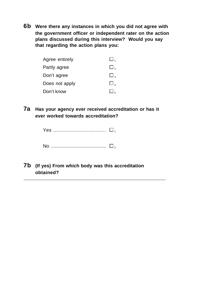**6b Were there any instances in which you did not agree with the government officer or independent rater on the action plans discussed during this interview? Would you say that regarding the action plans you:**

| Agree entirely | $\Box$   |
|----------------|----------|
| Partly agree   | $\Box$ , |
| Don't agree    | $\Box$   |
| Does not apply | $\Box$   |
| Don't know     |          |

**7a Has your agency ever received accreditation or has it ever worked towards accreditation?**

|  | Yes ………………………………   ⊔ |  |
|--|----------------------|--|
|  |                      |  |

No ......................................... <sup>2</sup>

**7b (If yes) From which body was this accreditation** 

**obtained?** .............................................................................................................................................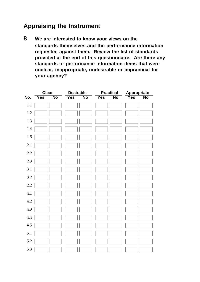## **Appraising the Instrument**

**8 We are interested to know your views on the standards themselves and the performance information requested against them. Review the list of standards provided at the end of this questionnaire. Are there any standards or performance information items that were unclear, inappropriate, undesirable or impractical for your agency?**

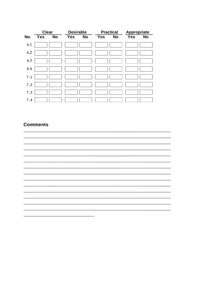|     | <b>Clear</b> |           | <b>Desirable</b> |           |            | <b>Practical</b> | Appropriate |           |
|-----|--------------|-----------|------------------|-----------|------------|------------------|-------------|-----------|
| No. | <b>Yes</b>   | <b>No</b> | <b>Yes</b>       | <b>No</b> | <b>Yes</b> | <b>No</b>        | <b>Yes</b>  | <b>No</b> |
| 6.1 |              |           |                  |           |            |                  |             |           |
| 6.2 |              |           |                  |           |            |                  |             |           |
| 6.3 |              |           |                  |           |            |                  |             |           |
| 6.4 |              |           |                  |           |            |                  |             |           |
| 7.1 |              |           |                  |           |            |                  |             |           |
| 7.2 |              |           |                  |           |            |                  |             |           |
| 7.3 |              |           |                  |           |            |                  |             |           |
| 7.4 |              |           |                  |           |            |                  |             |           |

#### **Comments**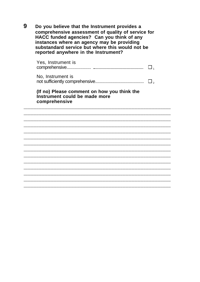9 Do you believe that the Instrument provides a comprehensive assessment of quality of service for HACC funded agencies? Can you think of any interesting and agency may be providing<br>substandard service but where this would not be reported anywhere in the Instrument?

| Yes, Instrument is                                                                            | $\Box$ |
|-----------------------------------------------------------------------------------------------|--------|
| No, Instrument is                                                                             |        |
| (If no) Please comment on how you think the<br>Instrument could be made more<br>comprehensive |        |
|                                                                                               |        |
|                                                                                               |        |
|                                                                                               |        |
|                                                                                               |        |
|                                                                                               |        |
|                                                                                               |        |
|                                                                                               |        |
|                                                                                               |        |
|                                                                                               |        |
|                                                                                               |        |
|                                                                                               |        |
|                                                                                               |        |
|                                                                                               |        |
|                                                                                               |        |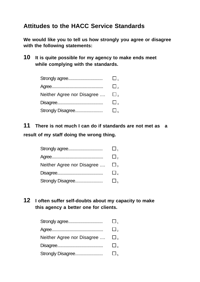### **Attitudes to the HACC Service Standards**

**We would like you to tell us how strongly you agree or disagree with the following statements:**

**10 It is quite possible for my agency to make ends meet while complying with the standards.**

| Strongly agree             | $\Box$ ,            |
|----------------------------|---------------------|
|                            | $\square$ ,         |
| Neither Agree nor Disagree | $\Box$ <sub>3</sub> |
|                            | $\Box$              |
| Strongly Disagree          | $\Box$ <sub>5</sub> |

**11 There is not much I can do if standards are not met as a result of my staff doing the wrong thing.**

| Strongly agree                                 | $\square$ . |
|------------------------------------------------|-------------|
|                                                | $\square$ , |
| Neither Agree nor Disagree $\Box$ <sub>3</sub> |             |
|                                                | $\square$ , |
| Strongly Disagree                              | $\square$   |

**12 I often suffer self-doubts about my capacity to make this agency a better one for clients.**

|                            | $\sqcup$ . |
|----------------------------|------------|
|                            | $\Box$ ,   |
| Neither Agree nor Disagree | $\Box$     |
|                            | $\Box$     |
| Strongly Disagree          | $\Box$     |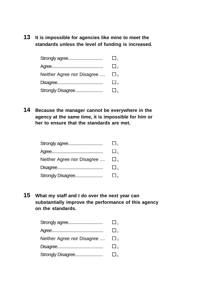**13 It is impossible for agencies like mine to meet the standards unless the level of funding is increased.**

| Strongly agree             |        |
|----------------------------|--------|
|                            |        |
| Neither Agree nor Disagree | $\Box$ |
|                            |        |
| Strongly Disagree          |        |

**14 Because the manager cannot be everywhere in the agency at the same time, it is impossible for him or her to ensure that the standards are met.**

| Strongly agree             | $\square$ . |
|----------------------------|-------------|
|                            | $\Box$ ,    |
| Neither Agree nor Disagree | $\Box$      |
|                            | $\square$ , |
| Strongly Disagree          | $\Box$      |

**15 What my staff and I do over the next year can substantially improve the performance of this agency on the standards.**

| Strongly agree             | $\square$           |
|----------------------------|---------------------|
|                            | $\Box$ ,            |
| Neither Agree nor Disagree | $\square$           |
|                            | $\square$           |
| Strongly Disagree          | $\Box$ <sub>5</sub> |